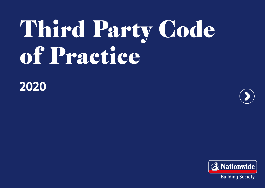# Third Party Code of Practice

**2020** 





Building Society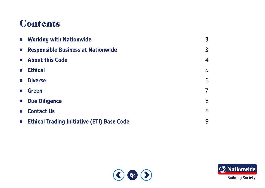# Contents

|           | • Working with Nationwide                    | $\mathcal{E}$  |
|-----------|----------------------------------------------|----------------|
| $\bullet$ | <b>Responsible Business at Nationwide</b>    | $\overline{3}$ |
|           | • About this Code                            | $\overline{4}$ |
| $\bullet$ | <b>Ethical</b>                               | 5              |
| $\bullet$ | <b>Diverse</b>                               | 6              |
| $\bullet$ | <b>Green</b>                                 | $\overline{7}$ |
|           | • Due Diligence                              | 8              |
| $\bullet$ | <b>Contact Us</b>                            | 8              |
|           | • Ethical Trading Initiative (ETI) Base Code | 9              |



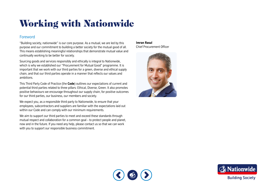# <span id="page-2-0"></span>Working with Nationwide

# Foreword

"Building society, nationwide" is our core purpose. As a mutual, we are led by this purpose and our commitment to building a better society for the mutual good of all. This means establishing meaningful relationships that demonstrate mutual value and continually working to be better for society.

Sourcing goods and services responsibly and ethically is integral to Nationwide, which is why we established our "Procurement for Mutual Good" programme. It is important that we work with our third parties for a green, diverse and ethical supply chain, and that our third parties operate in a manner that refects our values and ambitions.

This Third Party Code of Practice (the **Code**) outlines our expectations of current and potential third parties related to three pillars: Ethical, Diverse, Green. It also promotes positive behaviours we encourage throughout our supply chain, for positive outcomes for our third parties, our business, our members and society.

We expect you, as a responsible third party to Nationwide, to ensure that your employees, subcontractors and suppliers are familiar with the expectations laid out within our Code and can comply with our minimum requirements.

We aim to support our third parties to meet and exceed these standards through mutual respect and collaboration for a common goal – to protect people and planet, now and in the future. If you need any help, please contact us so that we can work with you to support our responsible business commitment.

# **Imran Rasul**

Chief Procurement Officer





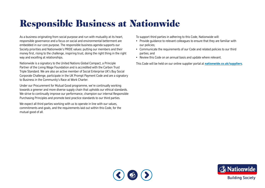# <span id="page-3-0"></span>Responsible Business at Nationwide

As a business originating from social purpose and run with mutuality at its heart, responsible governance and a focus on social and environmental betterment are embedded in our core purpose. The responsible business agenda supports our Society priorities and Nationwide's PRIDE values: putting our members and their money frst, rising to the challenge, inspiring trust, doing the right thing in the right way and excelling at relationships.

Nationwide is a signatory to the United Nations Global Compact, a Principle Partner of the Living Wage Foundation and is accredited with the Carbon Trust Triple Standard. We are also an active member of Social Enterprise UK's Buy Social Corporate Challenge, participate in the UK Prompt Payment Code and are a signatory to Business in the Community's Race at Work Charter.

Under our Procurement for Mutual Good programme, we're continually working towards a greener and more diverse supply chain that upholds our ethical standards. We strive to continually improve our performance, champion our internal Responsible Purchasing Principles and promote best practice standards to our third parties.

We expect all third parties working with us to operate in line with our values. commitments and goals, and the requirements laid out within this Code, for the mutual good of all.

To support third parties in adhering to this Code, Nationwide will:

- Provide guidance to relevant colleagues to ensure that they are familiar with our policies;
- Communicate the requirements of our Code and related policies to our third parties; and
- Review this Code on an annual basis and update where relevant.

This Code will be held on our online supplier portal at **[nationwide.co.uk/suppliers](http://nationwide.co.uk/suppliers)**.



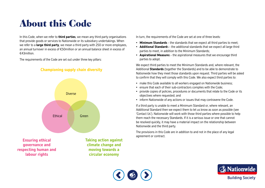# <span id="page-4-0"></span>About this Code

In this Code, when we refer to **third parties**, we mean any third party organisations that provide goods or services to Nationwide or its subsidiary undertakings. When we refer to a **large third party**, we mean a third party with 250 or more employees, an annual turnover in excess of €50million or an annual balance sheet in excess of €43million.

The requirements of the Code are set out under three key pillars:





**Ensuring ethical governance and respecting human and labour rights** 

**Taking action against climate change and moving towards a circular economy** 

In turn, the requirements of the Code are set at one of three levels:

- **Minimum Standards**  the standards that we expect all third parties to meet;
- **Additional Standard**s the additional standards that we expect all large third parties to meet, in addition to the Minimum Standards;
- **Aspirational Measure**s the aspirational measures that we encourage third parties to adopt.

We expect third parties to meet the Minimum Standards and, where relevant, the Additional **Standards** (together the Standards) and to be able to demonstrate to Nationwide how they meet those standards upon request. Third parties will be asked to confrm that they will comply with this Code. We also expect third parties to:

- make this Code available to all workers engaged on Nationwide business;
- ensure that each of their sub-contractors complies with the Code;
- provide copies of policies, procedures or documents that relate to the Code or its objectives where requested; and
- inform Nationwide of any actions or issues that may contravene the Code.

If a third party is unable to meet a Minimum Standard or, where relevant, an Additional Standard then we expect them to let us know as soon as possible (see 'Contact Us'). Nationwide will work with those third parties where possible to help them reach the necessary Standards. If it is a serious issue or one that cannot be resolved quickly, it may have a material impact on the relationship between Nationwide and the third party.

The provisions in this Code are in addition to and not in the place of any legal agreement or contract.



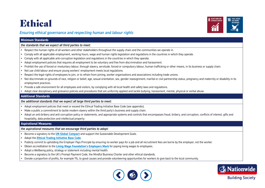

# <span id="page-5-0"></span>*Ensuring ethical governance and respecting human and labour rights*

## **Minimum Standards**

### *the standards that we expect all third parties to meet:*

- Respect the human rights of all workers and other stakeholders throughout the supply chain and the communities we operate in.
- Comply with all applicable employment, working hours, wage and human rights legislation and regulations in the countries in which they operate.
- Comply with all applicable anti-corruption legislation and regulations in the countries in which they operate.
- Adopt employment policies that requires all employment to be voluntary and free from discrimination and harassment.
- Prohibit the use of forced or involuntary labour, through slavery, servitude, forced or compulsory labour, human traffcking or other means, in its business or supply chain.
- Not use child labour and ensure young workers' employment meets local regulations.
- Respect the legal rights of employees to join, or to refrain from joining, worker organisations and associations including trade unions.
- Not discriminate on grounds of race, religion or belief, age, sexual orientation, sex, gender reassignment, marital or civil partnership status, pregnancy and maternity or disability in its employment practices.
- Provide a safe environment for all employees and visitors, by complying with all local health and safety laws and regulations.
- Adopt clear disciplinary and grievance policies and procedures that are uniformly applied and tackle bullying, harassment, mental, physical or verbal abuse.

# **Additional Standards**

# *the additional standards that we expect all large third parties to meet:*

- Adopt employment policies that meet or exceed the Ethical Trading Initiative Base Code (see appendix).
- Make a public a commitment to tackle modern slavery within the third party's business and supply chain.
- Adopt an anti-bribery and anti-corruption policy or statements, and appropriate systems and controls that encompasses fraud, bribery, and corruption, conficts of interest, gifts and hospitality, data protection and intellectual property.

# **Aspirational Measures**

*the aspirational measures that we encourage third parties to adopt:* 

- Become a signatory to the **[UN Global Compact](https://www.unglobalcompact.org/)** and support the Sustainable Development Goals.
- Adopt the **[Ethical Trading Initiative Base Code](https://www.ethicaltrade.org/eti-base-code)**.
- Publicly commit to upholding the Employer Pays Principle by ensuring no worker pays for a job and all recruitment fees are borne by the employer, not the worker.
- Obtain accreditation to the **[Living Wage Foundation's Employers Mark](https://www.livingwage.org.uk/accredited-living-wage-employers)** for paying living wages to employees.
- Adopt a Wellbeing policy, strategy or statement including mental health.
- Become a signatory to the UK's Prompt Payment Code, the Mindful Business Charter and other ethical standards.
- Donate a proportion of profts, for example 1%, to good causes and provide volunteering opportunities for workers to give back to the local community.



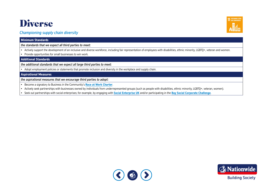# <span id="page-6-0"></span>Diverse



# *Championing supply chain diversity*

### **Minimum Standards**

*the standards that we expect all third parties to meet:* 

• Actively support the development of an inclusive and diverse workforce, including fair representation of employees with disabilities, ethnic minority, LGBTQ+, veteran and women.

• Provide opportunities for small businesses to win work.

**Additional Standards** 

*the additional standards that we expect all large third parties to meet:* 

• Adopt employment policies or statements that promote inclusion and diversity in the workplace and supply chain.

### **Aspirational Measures**

*the aspirational measures that we encourage third parties to adopt:* 

- Become a signatory to Business in the Community's **[Race at Work Charter](https://www.bitc.org.uk/race/)**.
- Actively seek partnerships with businesses owned by individuals from underrepresented groups (such as people with disabilities, ethnic minority, LGBTQ+, veteran, women).
- Seek out partnerships with social enterprises; for example, by engaging with **[Social Enterprise UK](https://www.socialenterprise.org.uk/)** and/or participating in the **[Buy Social Corporate Challenge](https://www.socialenterprise.org.uk/corporate-challenge/)**.



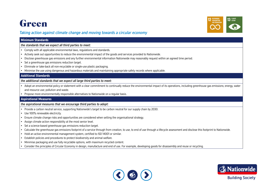

# <span id="page-7-0"></span>**Green**<br>
Taking action against climate change and moving towards a circular economy<br>
Minimum Standards *Taking action against climate change and moving towards a circular economy*

## **Minimum Standards**

### *the standards that we expect all third parties to meet:*

- Comply with all applicable environmental laws, regulations and standards.
- Actively seek out opportunities to reduce the environmental impact of the goods and services provided to Nationwide.
- Disclose greenhouse gas emissions and any further environmental information Nationwide may reasonably request within an agreed time period.
- Set a greenhouse gas emissions reduction target.
- Eliminate or take-back all non-recyclable or single-use plastic packaging.
- Minimise the use using dangerous and hazardous materials and maintaining appropriate safety records where applicable.

### **Additional Standards**

### *the additional standards that we expect all large third parties to meet:*

- Adopt an environmental policy or statement with a clear commitment to continually reduce the environmental impact of its operations, including greenhouse gas emissions; energy, water and resource use; pollution and waste.
- Propose more environmentally responsible alternatives to Nationwide on a regular basis.

### **Aspirational Measures**

### *the aspirational measures that we encourage third parties to adopt:*

- Provide a carbon neutral service, supporting Nationwide's target to be carbon neutral for our supply chain by 2030.
- Use 100% renewable electricity.
- Ensure climate change risks and opportunities are considered when setting the organisational strategy.
- Assign climate action responsibility at the most senior level.
- Set a science-based greenhouse gas emissions reduction target.
- Calculate the greenhouse gas emissions footprint of a service through from creation, to use, to end of use through a lifecycle assessment and disclose this footprint to Nationwide.
- Hold an active environmental management system, certifed to ISO 14001 or similar.
- Establish policies and procedures to protect biodiversity and animal welfare.
- Minimise packaging and use fully recyclable options, with maximum recycled content.
- Consider the principles of Circular Economy in design, manufacture and end of use. For example, developing goods for disassembly and reuse or recycling.



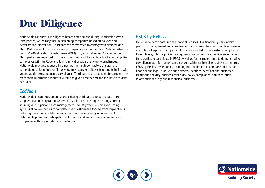# <span id="page-8-0"></span>Due Diligence

Nationwide conducts due diligence before entering and during relationships with third parties, which may include screening companies based on policies and performance information. Third parties are expected to comply with Nationwide's Third Party Code of Practice, agreeing compliance within the Third Party Registration Form, Pre-Qualifcation Questionnaire (PQQ), FSQS by Hellios and/or contract terms. Third parties are expected to monitor their own and their subcontractor and supplier compliance with the Code and to inform Nationwide of any non-compliances. Nationwide may also request third parties, their sub-contractors or suppliers' complete questionnaires, or Nationwide may complete site visits or audits in line with agreed audit terms, to ensure compliance. Third parties are expected to complete any reasonable information requests within the given time period and facilitate site visits or audits.

# **EcoVadis**

Nationwide encourages potential and existing third parties to participate in the supplier sustainability rating system, EcoVadis, and may request ratings during sourcing and in performance management. Industry-wide sustainability rating systems allow companies to complete one questionnaire for use by multiple clients, reducing questionnaire fatique and enhancing the efficiency of assessments. Nationwide promotes participation in EcoVadis and aims to place a preference on companies with higher ratings in the future.

# FSQS by Hellios

Nationwide participates in the Financial Services Qualifcation System, a third party risk management and compliance tool. It is used by a community of fnancial institutions to gather third party information needed to demonstrate compliance to regulators, internal policies and governance controls. Nationwide encourages third parties to participate in FSQS by Hellios for a simpler route to demonstrating compliance, as information can be shared with multiple clients at the same time. FSQS by Hellios covers topics including but not limited to company information, fnancial and legal, products and services, locations, certifcations, customer treatment, security, business continuity, policy compliance, anti-corruption, information security and responsible business.



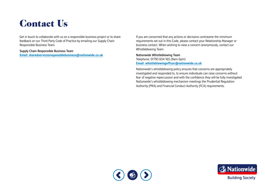# <span id="page-9-0"></span>Contact Us

Get in touch to collaborate with us on a responsible business project or to share feedback on our Third Party Code of Practice by emailing our Supply Chain Responsible Business Team.

Supply Chain Responsible Business Team **[Email: sharedservicesresponsiblebusiness@nationwide.co.uk](mailto:sharedservicesresponsiblebusiness@nationwide.co.uk)** 

If you are concerned that any actions or decisions contravene the minimum requirements set out in this Code, please contact your Relationship Manager or business contact. When wishing to raise a concern anonymously, contact our Whistleblowing Team.

Nationwide Whistleblowing Team Telephone: 01793 654 165 (9am-5pm) **[Email: whistleblowingoffcer@nationwide.co.uk](mailto:whistleblowingofficer@nationwide.co.uk)** 

Nationwide's whistleblowing policy ensures that concerns are appropriately investigated and responded to, to ensure individuals can raise concerns without fear of negative repercussion and with the confdence they will be fully investigated. Nationwide's whistleblowing mechanism meetings the Prudential Regulation Authority (PRA) and Financial Conduct Authority (FCA) requirements.



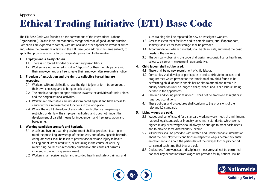# Appendix

# <span id="page-10-0"></span>Ethical Trading Initiative (ETI) Base Code

The ETI Base Code was founded on the conventions of the International Labour Organisation (ILO) and is an internationally recognised code of good labour practice. Companies are expected to comply with national and other applicable law at all times and, where the provisions of law and the ETI Base Code address the same subject, to apply that provision which affords the greater protection to the worker.

# **1. Employment is freely chosen.**

- 1.1 There is no forced, bonded or involuntary prison labour.
- 1.2 Workers are not required to lodge "deposits" or their identity papers with their employer and are free to leave their employer after reasonable notice.

# **2. Freedom of association and the right to collective bargaining are respected.**

- 2.1 Workers, without distinction, have the right to join or form trade unions of their own choosing and to bargain collectively.
- 2.2 The employer adopts an open attitude towards the activities of trade unions and their organisational activities.
- 2.3 Workers representatives are not discriminated against and have access to carry out their representative functions in the workplace.
- 2.4 Where the right to freedom of association and collective bargaining is restricted under law, the employer facilitates, and does not hinder, the development of parallel means for independent and free association and bargaining.

# **3. Working conditions are safe and hygienic.**

- 3.1 A safe and hygienic working environment shall be provided, bearing in mind the prevailing knowledge of the industry and of any specifc hazards. Adequate steps shall be taken to prevent accidents and injury to health arising out of, associated with, or occurring in the course of work, by minimising, so far as is reasonably practicable, the causes of hazards inherent in the working environment.
- 3.2 Workers shall receive regular and recorded health and safety training, and

such training shall be repeated for new or reassigned workers.

- 3.3 Access to clean toilet facilities and to potable water, and, if appropriate, sanitary facilities for food storage shall be provided.
- 3.4 Accommodation, where provided, shall be clean, safe, and meet the basic needs of the workers.
- 3.5 The company observing the code shall assign responsibility for health and safety to a senior management representative.

# **4. Child labour shall not be used.**

- 4.1 There shall be no new recruitment of child labour.
- 4.2 Companies shall develop or participate in and contribute to policies and programmes which provide for the transition of any child found to be performing child labour to enable her or him to attend and remain in quality education until no longer a child; "child" and "child labour" being defined in the appendices.
- 4.3 Children and young persons under 18 shall not be employed at night or in hazardous conditions.
- 4.4 These policies and procedures shall conform to the provisions of the relevant ILO standards.

# **5. Living wages are paid.**

- 5.1 Wages and benefts paid for a standard working week meet, at a minimum, national legal standards or industry benchmark standards, whichever is higher. In any event wages should always be enough to meet basic needs and to provide some discretionary income.
- 5.2 All workers shall be provided with written and understandable information about their employment conditions in respect to wages before they enter employment and about the particulars of their wages for the pay period concerned each time that they are paid.
- 5.3 Deductions from wages as a disciplinary measure shall not be permitted nor shall any deductions from wages not provided for by national law be